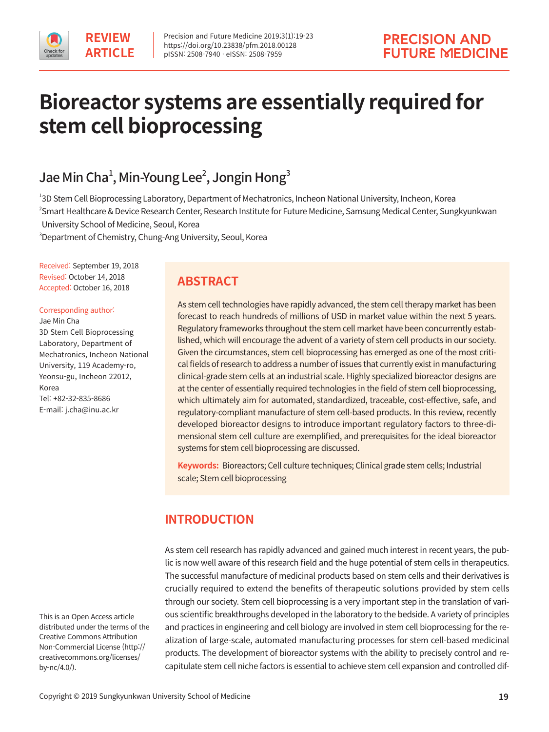

# **Bioreactor systems are essentially required for stem cell bioprocessing**

## Jae Min Cha $^{\scriptscriptstyle 1}$ , Min-Young Lee $^{\scriptscriptstyle 2}$ , Jongin Hong $^{\scriptscriptstyle 3}$

1 3D Stem Cell Bioprocessing Laboratory, Department of Mechatronics, Incheon National University, Incheon, Korea <sup>2</sup>Smart Healthcare & Device Research Center, Research Institute for Future Medicine, Samsung Medical Center, Sungkyunkwan University School of Medicine, Seoul, Korea

3 Department of Chemistry, Chung-Ang University, Seoul, Korea

Received: September 19, 2018 Revised: October 14, 2018 Accepted: October 16, 2018

Corresponding author:

Jae Min Cha 3D Stem Cell Bioprocessing Laboratory, Department of Mechatronics, Incheon National University, 119 Academy-ro, Yeonsu-gu, Incheon 22012, Korea Tel: +82-32-835-8686 E-mail: j.cha@inu.ac.kr

**ABSTRACT**

As stem cell technologies have rapidly advanced, the stem cell therapy market has been forecast to reach hundreds of millions of USD in market value within the next 5 years. Regulatory frameworks throughout the stem cell market have been concurrently established, which will encourage the advent of a variety of stem cell products in our society. Given the circumstances, stem cell bioprocessing has emerged as one of the most critical fields of research to address a number of issues that currently exist in manufacturing clinical-grade stem cells at an industrial scale. Highly specialized bioreactor designs are at the center of essentially required technologies in the field of stem cell bioprocessing, which ultimately aim for automated, standardized, traceable, cost-effective, safe, and regulatory-compliant manufacture of stem cell-based products. In this review, recently developed bioreactor designs to introduce important regulatory factors to three-dimensional stem cell culture are exemplified, and prerequisites for the ideal bioreactor systems for stem cell bioprocessing are discussed.

**Keywords:** Bioreactors; Cell culture techniques; Clinical grade stem cells; Industrial scale; Stem cell bioprocessing

## **INTRODUCTION**

As stem cell research has rapidly advanced and gained much interest in recent years, the public is now well aware of this research field and the huge potential of stem cells in therapeutics. The successful manufacture of medicinal products based on stem cells and their derivatives is crucially required to extend the benefits of therapeutic solutions provided by stem cells through our society. Stem cell bioprocessing is a very important step in the translation of various scientific breakthroughs developed in the laboratory to the bedside. A variety of principles and practices in engineering and cell biology are involved in stem cell bioprocessing for the realization of large-scale, automated manufacturing processes for stem cell-based medicinal products. The development of bioreactor systems with the ability to precisely control and recapitulate stem cell niche factors is essential to achieve stem cell expansion and controlled dif-

This is an Open Access article distributed under the terms of the Creative Commons Attribution Non-Commercial License (http:// creativecommons.org/licenses/ by-nc/4.0/).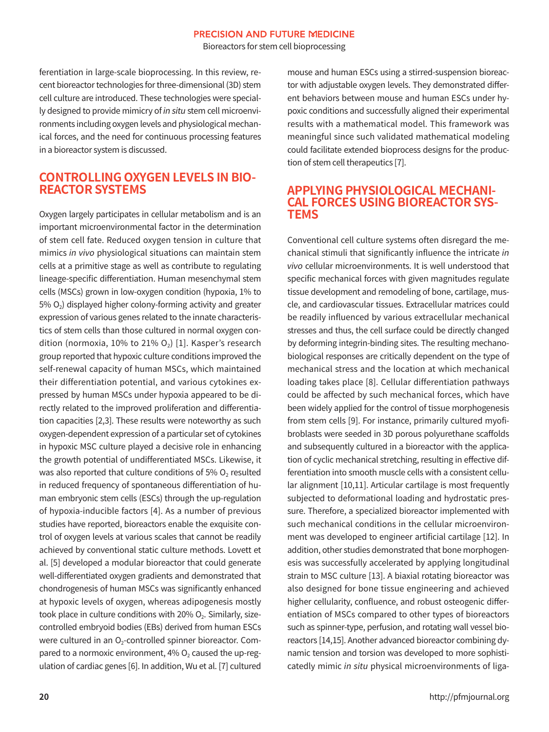#### **PRECISION AND FUTURE MEDICINE**

Bioreactors for stem cell bioprocessing

ferentiation in large-scale bioprocessing. In this review, recent bioreactor technologies for three-dimensional (3D) stem cell culture are introduced. These technologies were specially designed to provide mimicry of in situ stem cell microenvironments including oxygen levels and physiological mechanical forces, and the need for continuous processing features in a bioreactor system is discussed.

#### **CONTROLLING OXYGEN LEVELS IN BIO-REACTOR SYSTEMS**

Oxygen largely participates in cellular metabolism and is an important microenvironmental factor in the determination of stem cell fate. Reduced oxygen tension in culture that mimics in vivo physiological situations can maintain stem cells at a primitive stage as well as contribute to regulating lineage-specific differentiation. Human mesenchymal stem cells (MSCs) grown in low-oxygen condition (hypoxia, 1% to  $5\%$  O<sub>2</sub>) displayed higher colony-forming activity and greater expression of various genes related to the innate characteristics of stem cells than those cultured in normal oxygen condition (normoxia, 10% to 21%  $O<sub>2</sub>$ ) [1]. Kasper's research group reported that hypoxic culture conditions improved the self-renewal capacity of human MSCs, which maintained their differentiation potential, and various cytokines expressed by human MSCs under hypoxia appeared to be directly related to the improved proliferation and differentiation capacities [2,3]. These results were noteworthy as such oxygen-dependent expression of a particular set of cytokines in hypoxic MSC culture played a decisive role in enhancing the growth potential of undifferentiated MSCs. Likewise, it was also reported that culture conditions of 5%  $O<sub>2</sub>$  resulted in reduced frequency of spontaneous differentiation of human embryonic stem cells (ESCs) through the up-regulation of hypoxia-inducible factors [4]. As a number of previous studies have reported, bioreactors enable the exquisite control of oxygen levels at various scales that cannot be readily achieved by conventional static culture methods. Lovett et al. [5] developed a modular bioreactor that could generate well-differentiated oxygen gradients and demonstrated that chondrogenesis of human MSCs was significantly enhanced at hypoxic levels of oxygen, whereas adipogenesis mostly took place in culture conditions with 20%  $O<sub>2</sub>$ . Similarly, sizecontrolled embryoid bodies (EBs) derived from human ESCs were cultured in an  $O<sub>2</sub>$ -controlled spinner bioreactor. Compared to a normoxic environment,  $4\%$  O<sub>2</sub> caused the up-regulation of cardiac genes [6]. In addition, Wu et al. [7] cultured

mouse and human ESCs using a stirred-suspension bioreactor with adjustable oxygen levels. They demonstrated different behaviors between mouse and human ESCs under hypoxic conditions and successfully aligned their experimental results with a mathematical model. This framework was meaningful since such validated mathematical modeling could facilitate extended bioprocess designs for the production of stem cell therapeutics [7].

## **APPLYING PHYSIOLOGICAL MECHANI- CAL FORCES USING BIOREACTOR SYS-TEMS**

Conventional cell culture systems often disregard the mechanical stimuli that significantly influence the intricate in vivo cellular microenvironments. It is well understood that specific mechanical forces with given magnitudes regulate tissue development and remodeling of bone, cartilage, muscle, and cardiovascular tissues. Extracellular matrices could be readily influenced by various extracellular mechanical stresses and thus, the cell surface could be directly changed by deforming integrin-binding sites. The resulting mechanobiological responses are critically dependent on the type of mechanical stress and the location at which mechanical loading takes place [8]. Cellular differentiation pathways could be affected by such mechanical forces, which have been widely applied for the control of tissue morphogenesis from stem cells [9]. For instance, primarily cultured myofibroblasts were seeded in 3D porous polyurethane scaffolds and subsequently cultured in a bioreactor with the application of cyclic mechanical stretching, resulting in effective differentiation into smooth muscle cells with a consistent cellular alignment [10,11]. Articular cartilage is most frequently subjected to deformational loading and hydrostatic pressure. Therefore, a specialized bioreactor implemented with such mechanical conditions in the cellular microenvironment was developed to engineer artificial cartilage [12]. In addition, other studies demonstrated that bone morphogenesis was successfully accelerated by applying longitudinal strain to MSC culture [13]. A biaxial rotating bioreactor was also designed for bone tissue engineering and achieved higher cellularity, confluence, and robust osteogenic differentiation of MSCs compared to other types of bioreactors such as spinner-type, perfusion, and rotating wall vessel bioreactors [14,15]. Another advanced bioreactor combining dynamic tension and torsion was developed to more sophisticatedly mimic in situ physical microenvironments of liga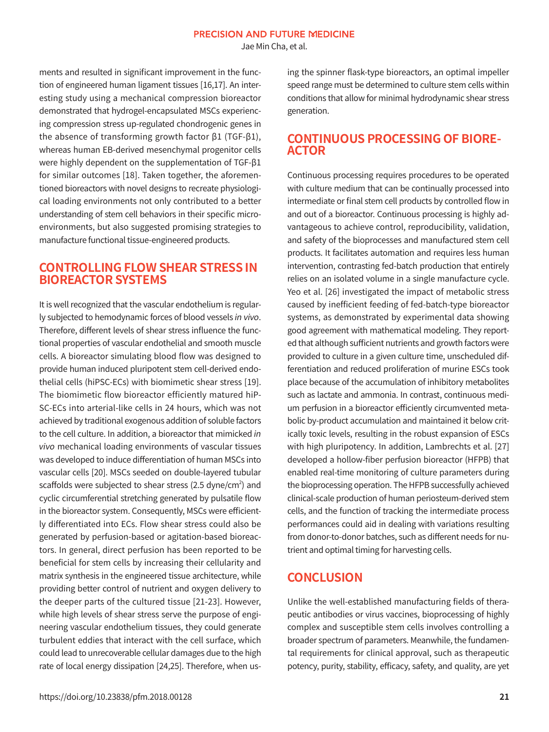Jae Min Cha, et al.

ments and resulted in significant improvement in the function of engineered human ligament tissues [16,17]. An interesting study using a mechanical compression bioreactor demonstrated that hydrogel-encapsulated MSCs experiencing compression stress up-regulated chondrogenic genes in the absence of transforming growth factor β1 (TGF-β1), whereas human EB-derived mesenchymal progenitor cells were highly dependent on the supplementation of TGF-β1 for similar outcomes [18]. Taken together, the aforementioned bioreactors with novel designs to recreate physiological loading environments not only contributed to a better understanding of stem cell behaviors in their specific microenvironments, but also suggested promising strategies to manufacture functional tissue-engineered products.

#### **CONTROLLING FLOW SHEAR STRESS IN BIOREACTOR SYSTEMS**

It is well recognized that the vascular endothelium is regularly subjected to hemodynamic forces of blood vessels in vivo. Therefore, different levels of shear stress influence the functional properties of vascular endothelial and smooth muscle cells. A bioreactor simulating blood flow was designed to provide human induced pluripotent stem cell-derived endothelial cells (hiPSC-ECs) with biomimetic shear stress [19]. The biomimetic flow bioreactor efficiently matured hiP-SC-ECs into arterial-like cells in 24 hours, which was not achieved by traditional exogenous addition of soluble factors to the cell culture. In addition, a bioreactor that mimicked in vivo mechanical loading environments of vascular tissues was developed to induce differentiation of human MSCs into vascular cells [20]. MSCs seeded on double-layered tubular scaffolds were subjected to shear stress (2.5 dyne/cm $^2$ ) and cyclic circumferential stretching generated by pulsatile flow in the bioreactor system. Consequently, MSCs were efficiently differentiated into ECs. Flow shear stress could also be generated by perfusion-based or agitation-based bioreactors. In general, direct perfusion has been reported to be beneficial for stem cells by increasing their cellularity and matrix synthesis in the engineered tissue architecture, while providing better control of nutrient and oxygen delivery to the deeper parts of the cultured tissue [21-23]. However, while high levels of shear stress serve the purpose of engineering vascular endothelium tissues, they could generate turbulent eddies that interact with the cell surface, which could lead to unrecoverable cellular damages due to the high rate of local energy dissipation [24,25]. Therefore, when using the spinner flask-type bioreactors, an optimal impeller speed range must be determined to culture stem cells within conditions that allow for minimal hydrodynamic shear stress generation.

#### **CONTINUOUS PROCESSING OF BIORE-ACTOR**

Continuous processing requires procedures to be operated with culture medium that can be continually processed into intermediate or final stem cell products by controlled flow in and out of a bioreactor. Continuous processing is highly advantageous to achieve control, reproducibility, validation, and safety of the bioprocesses and manufactured stem cell products. It facilitates automation and requires less human intervention, contrasting fed-batch production that entirely relies on an isolated volume in a single manufacture cycle. Yeo et al. [26] investigated the impact of metabolic stress caused by inefficient feeding of fed-batch-type bioreactor systems, as demonstrated by experimental data showing good agreement with mathematical modeling. They reported that although sufficient nutrients and growth factors were provided to culture in a given culture time, unscheduled differentiation and reduced proliferation of murine ESCs took place because of the accumulation of inhibitory metabolites such as lactate and ammonia. In contrast, continuous medium perfusion in a bioreactor efficiently circumvented metabolic by-product accumulation and maintained it below critically toxic levels, resulting in the robust expansion of ESCs with high pluripotency. In addition, Lambrechts et al. [27] developed a hollow-fiber perfusion bioreactor (HFPB) that enabled real-time monitoring of culture parameters during the bioprocessing operation. The HFPB successfully achieved clinical-scale production of human periosteum-derived stem cells, and the function of tracking the intermediate process performances could aid in dealing with variations resulting from donor-to-donor batches, such as different needs for nutrient and optimal timing for harvesting cells.

#### **CONCLUSION**

Unlike the well-established manufacturing fields of therapeutic antibodies or virus vaccines, bioprocessing of highly complex and susceptible stem cells involves controlling a broader spectrum of parameters. Meanwhile, the fundamental requirements for clinical approval, such as therapeutic potency, purity, stability, efficacy, safety, and quality, are yet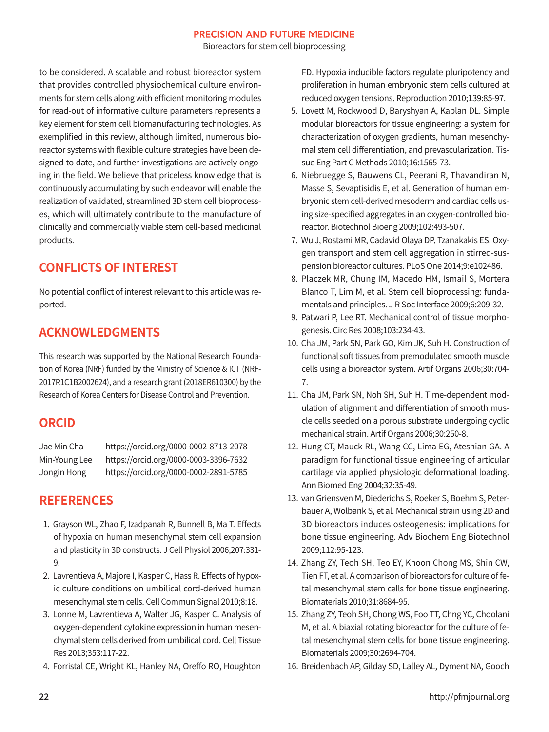#### **PRECISION AND FUTURE MEDICINE**

Bioreactors for stem cell bioprocessing

to be considered. A scalable and robust bioreactor system that provides controlled physiochemical culture environments for stem cells along with efficient monitoring modules for read-out of informative culture parameters represents a key element for stem cell biomanufacturing technologies. As exemplified in this review, although limited, numerous bioreactor systems with flexible culture strategies have been designed to date, and further investigations are actively ongoing in the field. We believe that priceless knowledge that is continuously accumulating by such endeavor will enable the realization of validated, streamlined 3D stem cell bioprocesses, which will ultimately contribute to the manufacture of clinically and commercially viable stem cell-based medicinal products.

### **CONFLICTS OF INTEREST**

No potential conflict of interest relevant to this article was reported.

### **ACKNOWLEDGMENTS**

This research was supported by the National Research Foundation of Korea (NRF) funded by the Ministry of Science & ICT (NRF-2017R1C1B2002624), and a research grant (2018ER610300) by the Research of Korea Centers for Disease Control and Prevention.

#### **ORCID**

| Jae Min Cha   | https://orcid.org/0000-0002-8713-2078 |
|---------------|---------------------------------------|
| Min-Young Lee | https://orcid.org/0000-0003-3396-7632 |
| Jongin Hong   | https://orcid.org/0000-0002-2891-5785 |

#### **REFERENCES**

- 1. Grayson WL, Zhao F, Izadpanah R, Bunnell B, Ma T. Effects of hypoxia on human mesenchymal stem cell expansion and plasticity in 3D constructs. J Cell Physiol 2006;207:331- 9.
- 2. Lavrentieva A, Majore I, Kasper C, Hass R. Effects of hypoxic culture conditions on umbilical cord-derived human mesenchymal stem cells. Cell Commun Signal 2010;8:18.
- 3. Lonne M, Lavrentieva A, Walter JG, Kasper C. Analysis of oxygen-dependent cytokine expression in human mesenchymal stem cells derived from umbilical cord. Cell Tissue Res 2013;353:117-22.
- 4. Forristal CE, Wright KL, Hanley NA, Oreffo RO, Houghton

FD. Hypoxia inducible factors regulate pluripotency and proliferation in human embryonic stem cells cultured at reduced oxygen tensions. Reproduction 2010;139:85-97.

- 5. Lovett M, Rockwood D, Baryshyan A, Kaplan DL. Simple modular bioreactors for tissue engineering: a system for characterization of oxygen gradients, human mesenchymal stem cell differentiation, and prevascularization. Tissue Eng Part C Methods 2010;16:1565-73.
- 6. Niebruegge S, Bauwens CL, Peerani R, Thavandiran N, Masse S, Sevaptisidis E, et al. Generation of human embryonic stem cell-derived mesoderm and cardiac cells using size-specified aggregates in an oxygen-controlled bioreactor. Biotechnol Bioeng 2009;102:493-507.
- 7. Wu J, Rostami MR, Cadavid Olaya DP, Tzanakakis ES. Oxygen transport and stem cell aggregation in stirred-suspension bioreactor cultures. PLoS One 2014;9:e102486.
- 8. Placzek MR, Chung IM, Macedo HM, Ismail S, Mortera Blanco T, Lim M, et al. Stem cell bioprocessing: fundamentals and principles. J R Soc Interface 2009;6:209-32.
- 9. Patwari P, Lee RT. Mechanical control of tissue morphogenesis. Circ Res 2008;103:234-43.
- 10. Cha JM, Park SN, Park GO, Kim JK, Suh H. Construction of functional soft tissues from premodulated smooth muscle cells using a bioreactor system. Artif Organs 2006;30:704- 7.
- 11. Cha JM, Park SN, Noh SH, Suh H. Time-dependent modulation of alignment and differentiation of smooth muscle cells seeded on a porous substrate undergoing cyclic mechanical strain. Artif Organs 2006;30:250-8.
- 12. Hung CT, Mauck RL, Wang CC, Lima EG, Ateshian GA. A paradigm for functional tissue engineering of articular cartilage via applied physiologic deformational loading. Ann Biomed Eng 2004;32:35-49.
- 13. van Griensven M, Diederichs S, Roeker S, Boehm S, Peterbauer A, Wolbank S, et al. Mechanical strain using 2D and 3D bioreactors induces osteogenesis: implications for bone tissue engineering. Adv Biochem Eng Biotechnol 2009;112:95-123.
- 14. Zhang ZY, Teoh SH, Teo EY, Khoon Chong MS, Shin CW, Tien FT, et al. A comparison of bioreactors for culture of fetal mesenchymal stem cells for bone tissue engineering. Biomaterials 2010;31:8684-95.
- 15. Zhang ZY, Teoh SH, Chong WS, Foo TT, Chng YC, Choolani M, et al. A biaxial rotating bioreactor for the culture of fetal mesenchymal stem cells for bone tissue engineering. Biomaterials 2009;30:2694-704.
- 16. Breidenbach AP, Gilday SD, Lalley AL, Dyment NA, Gooch